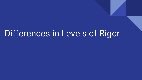# Differences in Levels of Rigor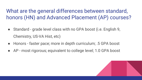What are the general differences between standard, honors (HN) and Advanced Placement (AP) courses?

- Standard grade level class with no GPA boost (i.e. English 9, Chemistry, US-VA Hist, etc)
- Honors faster pace; more in depth curriculum; .5 GPA boost
- AP most rigorous; equivalent to college level; 1.0 GPA boost

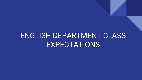## ENGLISH DEPARTMENT CLASS **EXPECTATIONS**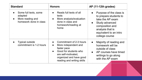| <b>Standard</b>                                                                | <b>Honors</b>                                                                                                                                                                        | AP (11-12th grades)                                                                                                                                                                     |
|--------------------------------------------------------------------------------|--------------------------------------------------------------------------------------------------------------------------------------------------------------------------------------|-----------------------------------------------------------------------------------------------------------------------------------------------------------------------------------------|
| Some full texts, some<br>adapted<br>More reading and<br>homework done in class | Reads full texts of all<br>$\bullet$<br>texts<br>More analysis/evaluation<br>$\bullet$<br>done in class and<br>homework/reading at<br>home                                           | Purpose of the class is<br>$\bullet$<br>to prepare students to<br>take the AP exam<br>Study advanced<br>composition and<br>analysis that is<br>equivalent to an intro<br>college course |
| <b>Typical outside</b><br>commitment is 1-2 hours                              | Commitment of 2-3 hours<br>More independent and<br>$\bullet$<br>faster pace<br>Good for students who<br>are self-motivated,<br>organized and have good<br>reading and writing skills | Majority of reading and<br>$\bullet$<br>homework will be<br>outside of class<br>AP courses have timed<br>$\bullet$<br>writings to go along<br>with the AP exam                          |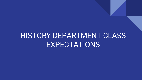## HISTORY DEPARTMENT CLASS EXPECTATIONS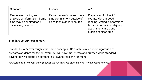| <b>Standard</b>                                                                                             | <b>Honors</b>                                                                            | AP                                                                                                                                                                 |
|-------------------------------------------------------------------------------------------------------------|------------------------------------------------------------------------------------------|--------------------------------------------------------------------------------------------------------------------------------------------------------------------|
| Grade level pacing and<br>analysis of information. Some<br>time may be allotted for in<br>class assignments | Faster pace of content, more<br>time commitment outside of<br>class then standard course | Preparation for the AP<br>exams. More in depth<br>reading, writing & analysis of<br>texts & information. Majority<br>assignments are done<br>outside of class time |

#### **Standard vs. AP Psychology:**

Standard & AP cover roughly the same concepts. AP psych is much more rigorous and prepares students for the AP exam. AP will have more tests and quizzes while standard psychology will focus on content in a lower stress environment

*AP Psych has a 1.0 boost and if you pass the AP exam you can earn credit from most universities*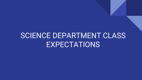## SCIENCE DEPARTMENT CLASS **EXPECTATIONS**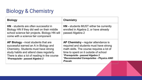### Biology & Chemistry

| <b>Biology</b>                                                                                                                                                                                                                                       | <b>Chemistry</b>                                                                                                                                                                                                                                                      |
|------------------------------------------------------------------------------------------------------------------------------------------------------------------------------------------------------------------------------------------------------|-----------------------------------------------------------------------------------------------------------------------------------------------------------------------------------------------------------------------------------------------------------------------|
| <b>HN</b> - students are often successful in<br>Biology HN if they did well on their middle<br>school science fair projects. Biology HN will<br>come with a science fair component                                                                   | <b>HN</b> - students MUST either be currently<br>enrolled in Algebra 2, or have already<br>passed Algebra 2                                                                                                                                                           |
| AP Biology - most students that are<br>successful earned an A in Biology and<br>Chemistry. Students must have strong<br>study habits and attend class regularly.<br>There is also a lot of reading in the course<br>*Prerequisite - passed Algebra 2 | AP Chemistry - regular attendance is<br>required and students must have strong<br>math skills. The course requires a lot of<br>time to spent on it outside of school<br>*Prerequisite - passed Algebra 2<br>*Recommended Corequisites - Physics AND<br><b>Precalc</b> |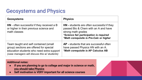### Geosystems and Physics

| <b>Geosystems</b>                                                                                                                                                              | <b>Physics</b>                                                                                                                                                                                        |
|--------------------------------------------------------------------------------------------------------------------------------------------------------------------------------|-------------------------------------------------------------------------------------------------------------------------------------------------------------------------------------------------------|
| <b>HN</b> - often successful if they received a B<br>or higher in their previous science and<br>math classes                                                                   | <b>HN</b> - students are often successful if they<br>passed Bio & Chem with an A and have<br>strong math grades<br>*Science fair participation is required<br>*Math corequisite is Pre-Calc or higher |
| Team taught and self contained (small<br>group) sections are offered for special<br>education students who need extra support<br>(case managers will discuss this w/ students) | AP - students that are successful often<br>have passed Physics HN with an A.<br>*Math corequisite is AP Calculus AB                                                                                   |

#### **Additional notes:**

- **If you are planning to go to college and major in science or math, you should take Physics**
- **Self motivation is VERY important for all science courses**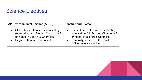### Science Electives

| <b>AP Environmental Science (APES)</b>  | <b>Genetics and Biotech</b>           |
|-----------------------------------------|---------------------------------------|
| • Students are often successful if they | Students are often successful if they |
| received an A in Bio and Chem or a B    | received an A in Bio and Chem or a B  |
| or higher in Bio HN & Chem HN           | or higher in Bio HN & Chem HN         |
| Regular attendance is critical          | Generally considered the most         |
| $\bullet$                               | difficult science elective            |

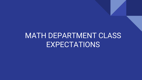## MATH DEPARTMENT CLASS EXPECTATIONS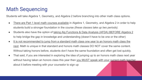### Math Sequencing

Students will take Algebra 1, Geometry, and Algebra 2 before branching into other math class options.

- There are Part 1 level math courses available in Algebra 1, Geometry, and Algebra 2 in order to help students build a stronger foundation in the course *(these classes take up two periods).*
- Students also have the option of taking Alg Functions & Data Analysis (AFDA) BEFORE Algebra 2 to help bridge the gap in knowledge and understanding (doesn't have to be one or the other)
- It is not recommended to jump from a standard math class one year to an honors math class the next. Math is unique in that standard and honors math classes DO NOT cover the same content. Without taking honors before, students don't have the same foundation and often get lost quickly.
- That said, if you are interested in exploring the idea of jumping up to an honors math class next year without having taken an honors class this year then you MUST speak with your current math teacher about it before meeting with your counselor to sign up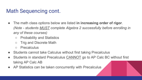### Math Sequencing cont.

- The math class options below are listed **in increasing order of rigor**. *(Note - students MUST complete Algebra 2 successfully before enrolling in any of these courses)*
	- Probability and Statistics
	- Trig and Discrete Math
	- Precalculus
- Students cannot take Calculus without first taking Precalculus
- Students in standard Precalculus CANNOT go to AP Calc BC without first taking AP Calc AB
- AP Statistics can be taken concurrently with Precalculus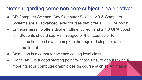### Notes regarding some non-core subject area electives:

- AP Computer Science, Adv Computer Science AB & Computer Systems are all advanced level courses that offer a 1.0 GPA boost
- Entrepreneurship offers dual enrollment credit and a 1.0 GPA boost
	- Students should see Ms. Treague or their counselor for instructions on how to complete the required steps for dual enrollment
- Animation is a computer science coding level class
- Digital Art 1 is a good starting point for those unsure about taking a more rigorous computer graphic design course such as Animation